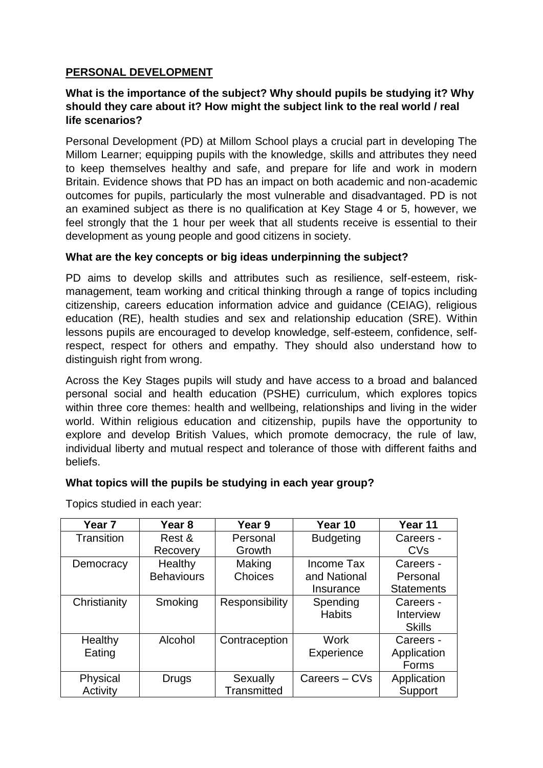## **PERSONAL DEVELOPMENT**

## **What is the importance of the subject? Why should pupils be studying it? Why should they care about it? How might the subject link to the real world / real life scenarios?**

Personal Development (PD) at Millom School plays a crucial part in developing The Millom Learner; equipping pupils with the knowledge, skills and attributes they need to keep themselves healthy and safe, and prepare for life and work in modern Britain. Evidence shows that PD has an impact on both academic and non-academic outcomes for pupils, particularly the most vulnerable and disadvantaged. PD is not an examined subject as there is no qualification at Key Stage 4 or 5, however, we feel strongly that the 1 hour per week that all students receive is essential to their development as young people and good citizens in society.

## **What are the key concepts or big ideas underpinning the subject?**

PD aims to develop skills and attributes such as resilience, self-esteem, riskmanagement, team working and critical thinking through a range of topics including citizenship, careers education information advice and guidance (CEIAG), religious education (RE), health studies and sex and relationship education (SRE). Within lessons pupils are encouraged to develop knowledge, self-esteem, confidence, selfrespect, respect for others and empathy. They should also understand how to distinguish right from wrong.

Across the Key Stages pupils will study and have access to a broad and balanced personal social and health education (PSHE) curriculum, which explores topics within three core themes: health and wellbeing, relationships and living in the wider world. Within religious education and citizenship, pupils have the opportunity to explore and develop British Values, which promote democracy, the rule of law, individual liberty and mutual respect and tolerance of those with different faiths and beliefs.

### **What topics will the pupils be studying in each year group?**

| Year <sub>7</sub> | Year <sub>8</sub> | Year 9         | Year 10          | Year 11               |
|-------------------|-------------------|----------------|------------------|-----------------------|
| Transition        | Rest &            | Personal       | <b>Budgeting</b> | Careers -             |
|                   | Recovery          | Growth         |                  | <b>CV<sub>s</sub></b> |
| Democracy         | Healthy           | Making         | Income Tax       | Careers -             |
|                   | <b>Behaviours</b> | Choices        | and National     | Personal              |
|                   |                   |                | Insurance        | <b>Statements</b>     |
| Christianity      | Smoking           | Responsibility | Spending         | Careers -             |
|                   |                   |                | <b>Habits</b>    | Interview             |
|                   |                   |                |                  | <b>Skills</b>         |
| Healthy           | Alcohol           | Contraception  | <b>Work</b>      | Careers -             |
| Eating            |                   |                | Experience       | Application           |
|                   |                   |                |                  | Forms                 |
| Physical          | Drugs             | Sexually       | Careers – CVs    | Application           |
| Activity          |                   | Transmitted    |                  | Support               |

Topics studied in each year: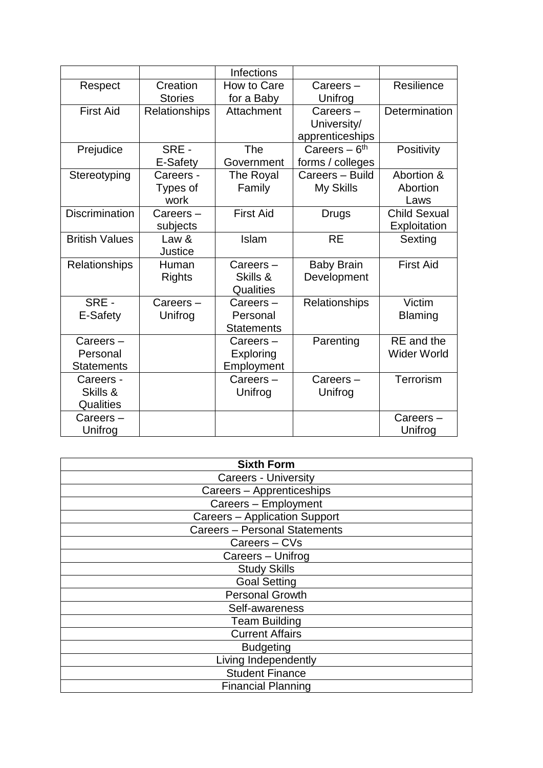|                       |                      | Infections        |                            |                     |
|-----------------------|----------------------|-------------------|----------------------------|---------------------|
| Respect               | Creation             | How to Care       | $Careers -$                | Resilience          |
|                       | <b>Stories</b>       | for a Baby        | Unifrog                    |                     |
| <b>First Aid</b>      | <b>Relationships</b> | Attachment        | $Careers -$                | Determination       |
|                       |                      |                   | University/                |                     |
|                       |                      |                   | apprenticeships            |                     |
| Prejudice             | SRE -                | The               | Careers $-6$ <sup>th</sup> | Positivity          |
|                       | E-Safety             | Government        | forms / colleges           |                     |
| Stereotyping          | Careers -            | The Royal         | Careers - Build            | Abortion &          |
|                       | Types of             | Family            | My Skills                  | Abortion            |
|                       | work                 |                   |                            | Laws                |
| <b>Discrimination</b> | Careers-             | <b>First Aid</b>  | <b>Drugs</b>               | <b>Child Sexual</b> |
|                       | subjects             |                   |                            | Exploitation        |
| <b>British Values</b> | Law &                | Islam             | <b>RE</b>                  | Sexting             |
|                       | Justice              |                   |                            |                     |
| Relationships         | Human                | Careers-          | <b>Baby Brain</b>          | <b>First Aid</b>    |
|                       | <b>Rights</b>        | Skills &          | Development                |                     |
|                       |                      | Qualities         |                            |                     |
| SRE -                 | Careers-             | Careers-          | <b>Relationships</b>       | Victim              |
| E-Safety              | Unifrog              | Personal          |                            | <b>Blaming</b>      |
|                       |                      | <b>Statements</b> |                            |                     |
| $Careers -$           |                      | Careers-          | Parenting                  | RE and the          |
| Personal              |                      | Exploring         |                            | <b>Wider World</b>  |
| <b>Statements</b>     |                      | Employment        |                            |                     |
| Careers -             |                      | Careers-          | Careers-                   | Terrorism           |
| Skills &              |                      | Unifrog           | Unifrog                    |                     |
| Qualities             |                      |                   |                            |                     |
| Careers -             |                      |                   |                            | $Careers -$         |
| Unifrog               |                      |                   |                            | Unifrog             |

| <b>Sixth Form</b>                    |
|--------------------------------------|
| <b>Careers - University</b>          |
| Careers - Apprenticeships            |
| Careers - Employment                 |
| Careers - Application Support        |
| <b>Careers - Personal Statements</b> |
| Careers - CVs                        |
| Careers - Unifrog                    |
| <b>Study Skills</b>                  |
| <b>Goal Setting</b>                  |
| <b>Personal Growth</b>               |
| Self-awareness                       |
| <b>Team Building</b>                 |
| <b>Current Affairs</b>               |
| <b>Budgeting</b>                     |
| Living Independently                 |
| <b>Student Finance</b>               |
| <b>Financial Planning</b>            |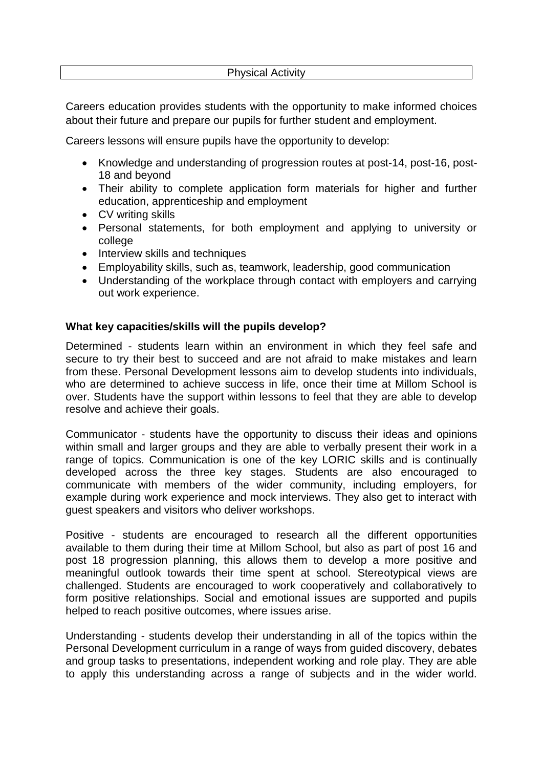#### Physical Activity

Careers education provides students with the opportunity to make informed choices about their future and prepare our pupils for further student and employment.

Careers lessons will ensure pupils have the opportunity to develop:

- Knowledge and understanding of progression routes at post-14, post-16, post-18 and beyond
- Their ability to complete application form materials for higher and further education, apprenticeship and employment
- CV writing skills
- Personal statements, for both employment and applying to university or college
- Interview skills and techniques
- Employability skills, such as, teamwork, leadership, good communication
- Understanding of the workplace through contact with employers and carrying out work experience.

#### **What key capacities/skills will the pupils develop?**

Determined - students learn within an environment in which they feel safe and secure to try their best to succeed and are not afraid to make mistakes and learn from these. Personal Development lessons aim to develop students into individuals, who are determined to achieve success in life, once their time at Millom School is over. Students have the support within lessons to feel that they are able to develop resolve and achieve their goals.

Communicator - students have the opportunity to discuss their ideas and opinions within small and larger groups and they are able to verbally present their work in a range of topics. Communication is one of the key LORIC skills and is continually developed across the three key stages. Students are also encouraged to communicate with members of the wider community, including employers, for example during work experience and mock interviews. They also get to interact with guest speakers and visitors who deliver workshops.

Positive - students are encouraged to research all the different opportunities available to them during their time at Millom School, but also as part of post 16 and post 18 progression planning, this allows them to develop a more positive and meaningful outlook towards their time spent at school. Stereotypical views are challenged. Students are encouraged to work cooperatively and collaboratively to form positive relationships. Social and emotional issues are supported and pupils helped to reach positive outcomes, where issues arise.

Understanding - students develop their understanding in all of the topics within the Personal Development curriculum in a range of ways from guided discovery, debates and group tasks to presentations, independent working and role play. They are able to apply this understanding across a range of subjects and in the wider world.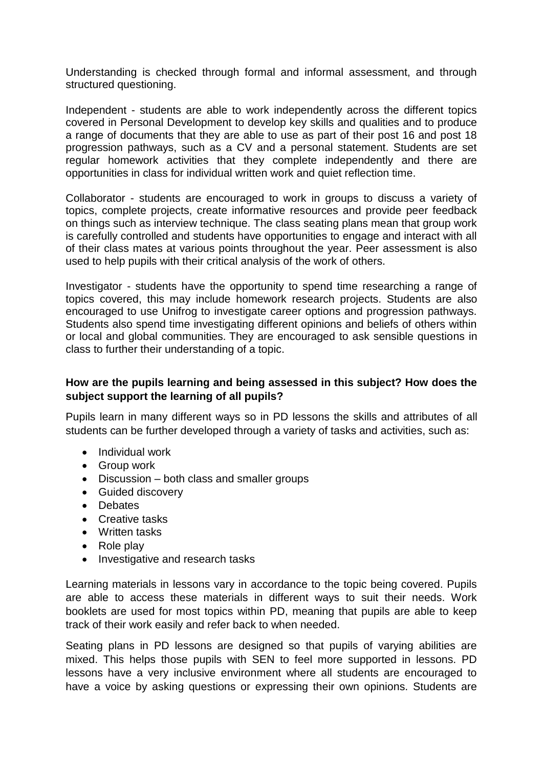Understanding is checked through formal and informal assessment, and through structured questioning.

Independent - students are able to work independently across the different topics covered in Personal Development to develop key skills and qualities and to produce a range of documents that they are able to use as part of their post 16 and post 18 progression pathways, such as a CV and a personal statement. Students are set regular homework activities that they complete independently and there are opportunities in class for individual written work and quiet reflection time.

Collaborator - students are encouraged to work in groups to discuss a variety of topics, complete projects, create informative resources and provide peer feedback on things such as interview technique. The class seating plans mean that group work is carefully controlled and students have opportunities to engage and interact with all of their class mates at various points throughout the year. Peer assessment is also used to help pupils with their critical analysis of the work of others.

Investigator - students have the opportunity to spend time researching a range of topics covered, this may include homework research projects. Students are also encouraged to use Unifrog to investigate career options and progression pathways. Students also spend time investigating different opinions and beliefs of others within or local and global communities. They are encouraged to ask sensible questions in class to further their understanding of a topic.

### **How are the pupils learning and being assessed in this subject? How does the subject support the learning of all pupils?**

Pupils learn in many different ways so in PD lessons the skills and attributes of all students can be further developed through a variety of tasks and activities, such as:

- Individual work
- Group work
- Discussion both class and smaller groups
- Guided discovery
- Debates
- Creative tasks
- Written tasks
- Role play
- Investigative and research tasks

Learning materials in lessons vary in accordance to the topic being covered. Pupils are able to access these materials in different ways to suit their needs. Work booklets are used for most topics within PD, meaning that pupils are able to keep track of their work easily and refer back to when needed.

Seating plans in PD lessons are designed so that pupils of varying abilities are mixed. This helps those pupils with SEN to feel more supported in lessons. PD lessons have a very inclusive environment where all students are encouraged to have a voice by asking questions or expressing their own opinions. Students are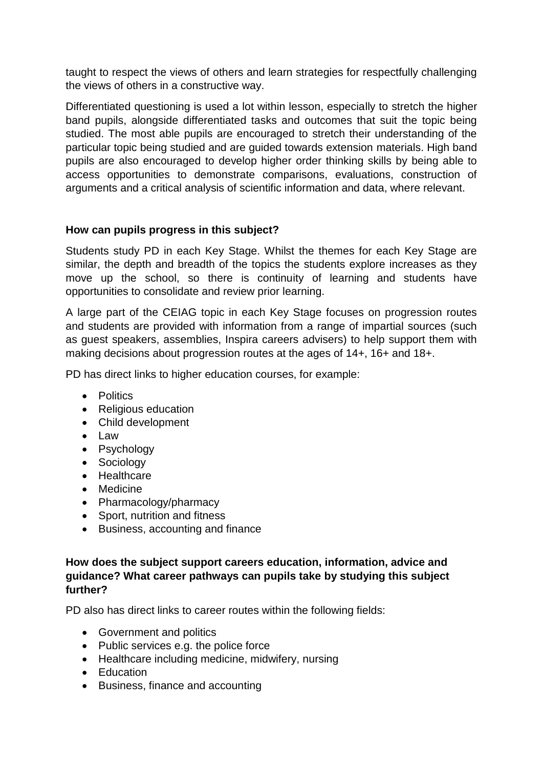taught to respect the views of others and learn strategies for respectfully challenging the views of others in a constructive way.

Differentiated questioning is used a lot within lesson, especially to stretch the higher band pupils, alongside differentiated tasks and outcomes that suit the topic being studied. The most able pupils are encouraged to stretch their understanding of the particular topic being studied and are guided towards extension materials. High band pupils are also encouraged to develop higher order thinking skills by being able to access opportunities to demonstrate comparisons, evaluations, construction of arguments and a critical analysis of scientific information and data, where relevant.

## **How can pupils progress in this subject?**

Students study PD in each Key Stage. Whilst the themes for each Key Stage are similar, the depth and breadth of the topics the students explore increases as they move up the school, so there is continuity of learning and students have opportunities to consolidate and review prior learning.

A large part of the CEIAG topic in each Key Stage focuses on progression routes and students are provided with information from a range of impartial sources (such as guest speakers, assemblies, Inspira careers advisers) to help support them with making decisions about progression routes at the ages of 14+, 16+ and 18+.

PD has direct links to higher education courses, for example:

- Politics
- Religious education
- Child development
- Law
- Psychology
- Sociology
- Healthcare
- Medicine
- Pharmacology/pharmacy
- Sport, nutrition and fitness
- Business, accounting and finance

## **How does the subject support careers education, information, advice and guidance? What career pathways can pupils take by studying this subject further?**

PD also has direct links to career routes within the following fields:

- Government and politics
- Public services e.g. the police force
- Healthcare including medicine, midwifery, nursing
- Education
- Business, finance and accounting